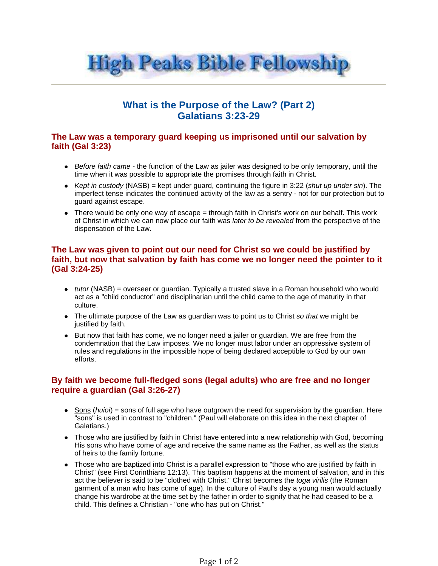

# **What is the Purpose of the Law? (Part 2) Galatians 3:23-29**

#### **The Law was a temporary guard keeping us imprisoned until our salvation by faith (Gal 3:23)**

- Before faith came the function of the Law as jailer was designed to be only temporary, until the time when it was possible to appropriate the promises through faith in Christ.
- Kept in custody (NASB) = kept under guard, continuing the figure in 3:22 (shut up under sin). The imperfect tense indicates the continued activity of the law as a sentry - not for our protection but to guard against escape.
- There would be only one way of escape = through faith in Christ's work on our behalf. This work of Christ in which we can now place our faith was later to be revealed from the perspective of the dispensation of the Law.

#### **The Law was given to point out our need for Christ so we could be justified by faith, but now that salvation by faith has come we no longer need the pointer to it (Gal 3:24-25)**

- $\bullet$  *tutor* (NASB) = overseer or guardian. Typically a trusted slave in a Roman household who would act as a "child conductor" and disciplinarian until the child came to the age of maturity in that culture.
- The ultimate purpose of the Law as guardian was to point us to Christ so that we might be justified by faith.
- But now that faith has come, we no longer need a jailer or guardian. We are free from the condemnation that the Law imposes. We no longer must labor under an oppressive system of rules and regulations in the impossible hope of being declared acceptible to God by our own efforts.

## **By faith we become full-fledged sons (legal adults) who are free and no longer require a guardian (Gal 3:26-27)**

- Sons (huioi) = sons of full age who have outgrown the need for supervision by the guardian. Here "sons" is used in contrast to "children." (Paul will elaborate on this idea in the next chapter of Galatians.)
- Those who are justified by faith in Christ have entered into a new relationship with God, becoming His sons who have come of age and receive the same name as the Father, as well as the status of heirs to the family fortune.
- Those who are baptized into Christ is a parallel expression to "those who are justified by faith in Christ" (see First Corinthians 12:13). This baptism happens at the moment of salvation, and in this act the believer is said to be "clothed with Christ." Christ becomes the toga virilis (the Roman garment of a man who has come of age). In the culture of Paul's day a young man would actually change his wardrobe at the time set by the father in order to signify that he had ceased to be a child. This defines a Christian - "one who has put on Christ."